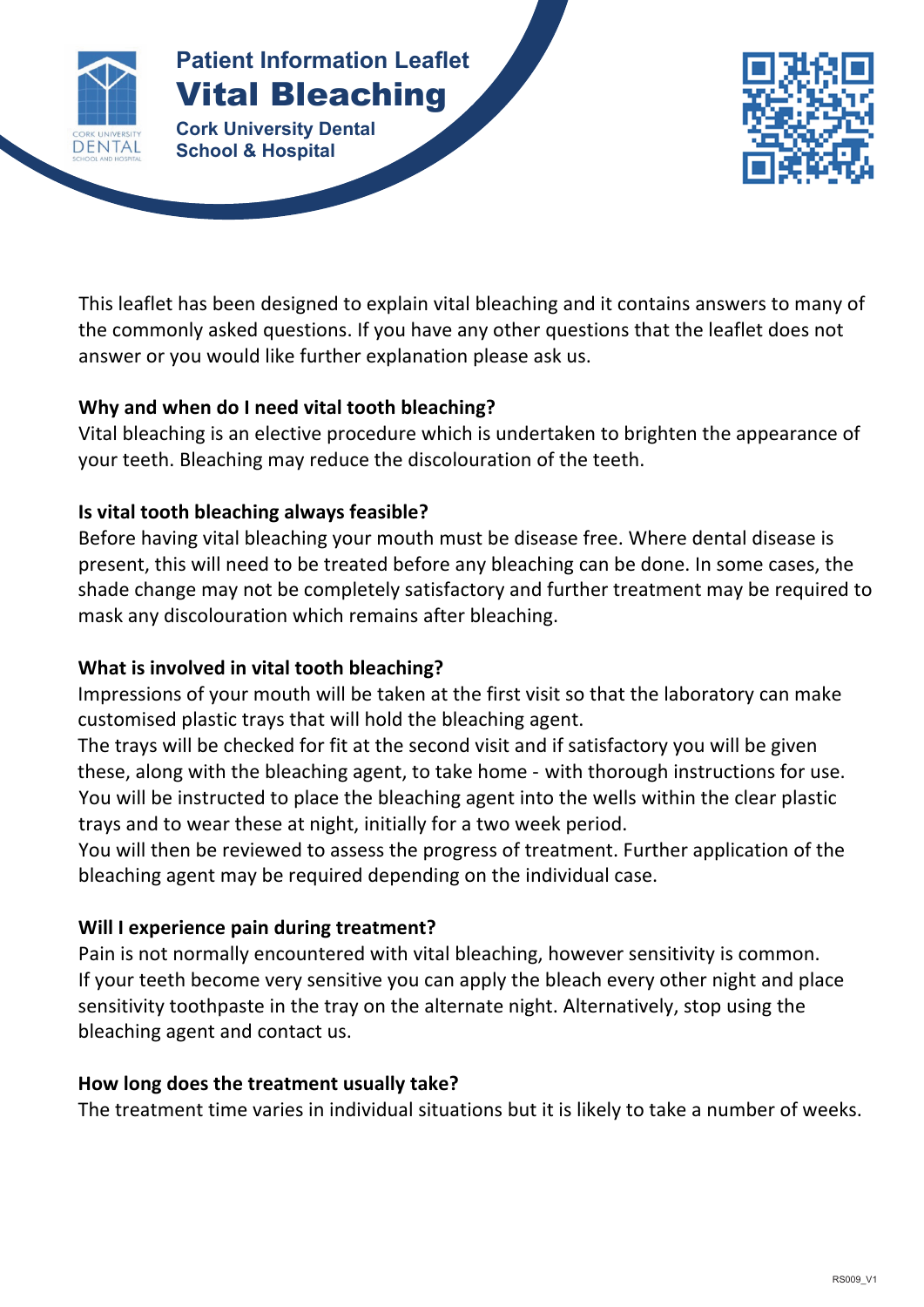

# **Patient Information Leaflet** Vital Bleaching

**Patient Information Leaflet Cork University Dental School & Hospital**



This leaflet has been designed to explain vital bleaching and it contains answers to many of the commonly asked questions. If you have any other questions that the leaflet does not answer or you would like further explanation please ask us.

**VITAL BLEACHING**

# **Why and when do I need vital tooth bleaching?**

Vital bleaching is an elective procedure which is undertaken to brighten the appearance of your teeth. Bleaching may reduce the discolouration of the teeth.

# **Is vital tooth bleaching always feasible?**

Before having vital bleaching your mouth must be disease free. Where dental disease is present, this will need to be treated before any bleaching can be done. In some cases, the shade change may not be completely satisfactory and further treatment may be required to mask any discolouration which remains after bleaching.

# **What is involved in vital tooth bleaching?**

Impressions of your mouth will be taken at the first visit so that the laboratory can make customised plastic trays that will hold the bleaching agent.

The trays will be checked for fit at the second visit and if satisfactory you will be given these, along with the bleaching agent, to take home - with thorough instructions for use. You will be instructed to place the bleaching agent into the wells within the clear plastic trays and to wear these at night, initially for a two week period.

You will then be reviewed to assess the progress of treatment. Further application of the bleaching agent may be required depending on the individual case.

#### **Will I experience pain during treatment?**

Pain is not normally encountered with vital bleaching, however sensitivity is common. If your teeth become very sensitive you can apply the bleach every other night and place sensitivity toothpaste in the tray on the alternate night. Alternatively, stop using the bleaching agent and contact us.

#### **How long does the treatment usually take?**

The treatment time varies in individual situations but it is likely to take a number of weeks.